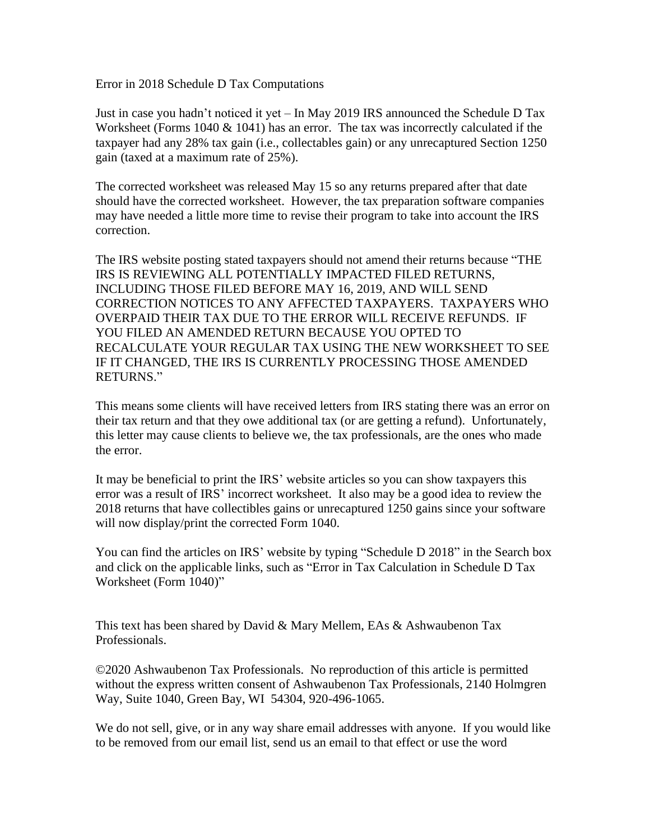Error in 2018 Schedule D Tax Computations

Just in case you hadn't noticed it yet – In May 2019 IRS announced the Schedule D Tax Worksheet (Forms 1040 & 1041) has an error. The tax was incorrectly calculated if the taxpayer had any 28% tax gain (i.e., collectables gain) or any unrecaptured Section 1250 gain (taxed at a maximum rate of 25%).

The corrected worksheet was released May 15 so any returns prepared after that date should have the corrected worksheet. However, the tax preparation software companies may have needed a little more time to revise their program to take into account the IRS correction.

The IRS website posting stated taxpayers should not amend their returns because "THE IRS IS REVIEWING ALL POTENTIALLY IMPACTED FILED RETURNS, INCLUDING THOSE FILED BEFORE MAY 16, 2019, AND WILL SEND CORRECTION NOTICES TO ANY AFFECTED TAXPAYERS. TAXPAYERS WHO OVERPAID THEIR TAX DUE TO THE ERROR WILL RECEIVE REFUNDS. IF YOU FILED AN AMENDED RETURN BECAUSE YOU OPTED TO RECALCULATE YOUR REGULAR TAX USING THE NEW WORKSHEET TO SEE IF IT CHANGED, THE IRS IS CURRENTLY PROCESSING THOSE AMENDED RETURNS."

This means some clients will have received letters from IRS stating there was an error on their tax return and that they owe additional tax (or are getting a refund). Unfortunately, this letter may cause clients to believe we, the tax professionals, are the ones who made the error.

It may be beneficial to print the IRS' website articles so you can show taxpayers this error was a result of IRS' incorrect worksheet. It also may be a good idea to review the 2018 returns that have collectibles gains or unrecaptured 1250 gains since your software will now display/print the corrected Form 1040.

You can find the articles on IRS' website by typing "Schedule D 2018" in the Search box and click on the applicable links, such as "Error in Tax Calculation in Schedule D Tax Worksheet (Form 1040)"

This text has been shared by David & Mary Mellem, EAs & Ashwaubenon Tax Professionals.

©2020 Ashwaubenon Tax Professionals. No reproduction of this article is permitted without the express written consent of Ashwaubenon Tax Professionals, 2140 Holmgren Way, Suite 1040, Green Bay, WI 54304, 920-496-1065.

We do not sell, give, or in any way share email addresses with anyone. If you would like to be removed from our email list, send us an email to that effect or use the word